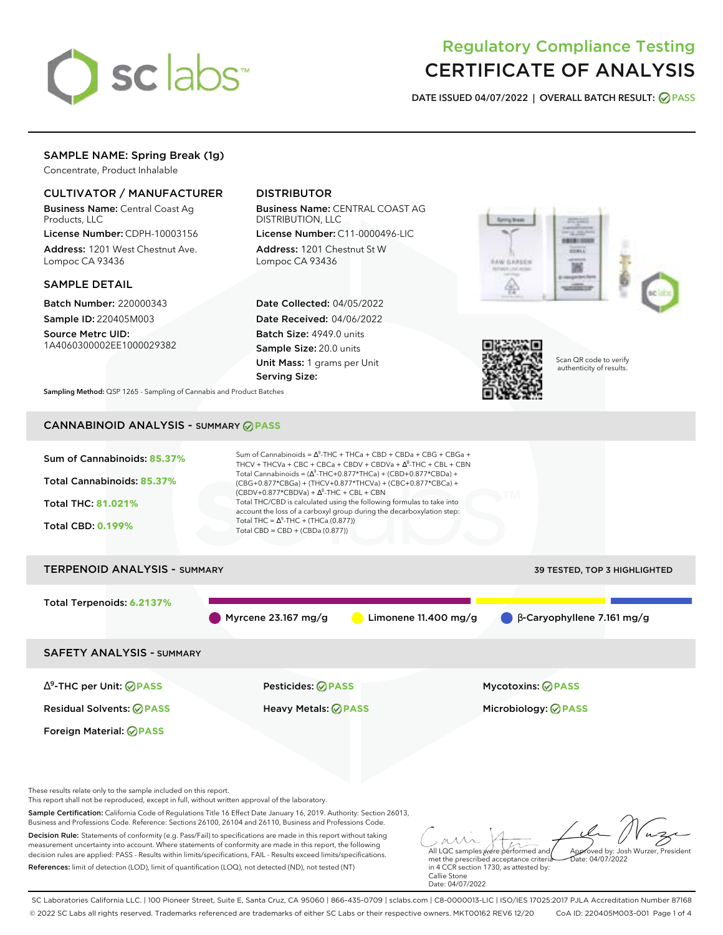

# Regulatory Compliance Testing CERTIFICATE OF ANALYSIS

**DATE ISSUED 04/07/2022 | OVERALL BATCH RESULT: PASS**

# SAMPLE NAME: Spring Break (1g)

Concentrate, Product Inhalable

# CULTIVATOR / MANUFACTURER

Business Name: Central Coast Ag Products, LLC

License Number: CDPH-10003156 Address: 1201 West Chestnut Ave. Lompoc CA 93436

### SAMPLE DETAIL

Batch Number: 220000343 Sample ID: 220405M003 Source Metrc UID:

1A4060300002EE1000029382

# DISTRIBUTOR

Business Name: CENTRAL COAST AG DISTRIBUTION, LLC

License Number: C11-0000496-LIC Address: 1201 Chestnut St W Lompoc CA 93436

Date Collected: 04/05/2022 Date Received: 04/06/2022 Batch Size: 4949.0 units Sample Size: 20.0 units Unit Mass: 1 grams per Unit Serving Size:





in 4 CCR section 1730, as attested by:

Callie Stone Date: 04/07/2022 Scan QR code to verify authenticity of results.

**Sampling Method:** QSP 1265 - Sampling of Cannabis and Product Batches

# CANNABINOID ANALYSIS - SUMMARY **PASS**

References: limit of detection (LOD), limit of quantification (LOQ), not detected (ND), not tested (NT)



SC Laboratories California LLC. | 100 Pioneer Street, Suite E, Santa Cruz, CA 95060 | 866-435-0709 | sclabs.com | C8-0000013-LIC | ISO/IES 17025:2017 PJLA Accreditation Number 87168 © 2022 SC Labs all rights reserved. Trademarks referenced are trademarks of either SC Labs or their respective owners. MKT00162 REV6 12/20 CoA ID: 220405M003-001 Page 1 of 4